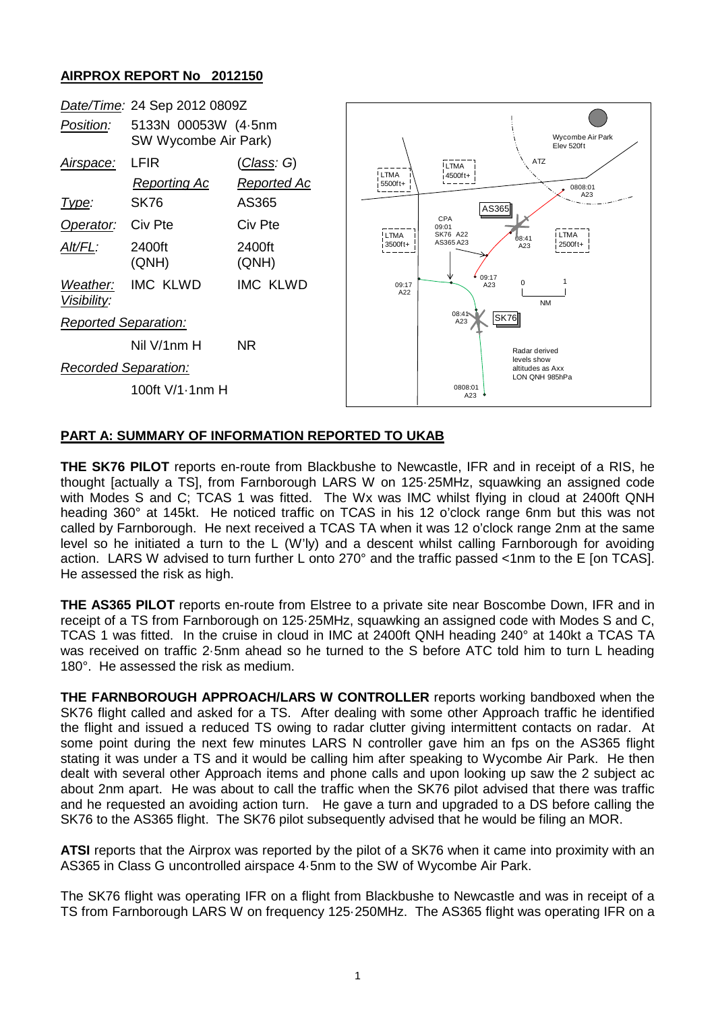## **AIRPROX REPORT No 2012150**



## **PART A: SUMMARY OF INFORMATION REPORTED TO UKAB**

**THE SK76 PILOT** reports en-route from Blackbushe to Newcastle, IFR and in receipt of a RIS, he thought [actually a TS], from Farnborough LARS W on 125·25MHz, squawking an assigned code with Modes S and C; TCAS 1 was fitted. The Wx was IMC whilst flying in cloud at 2400ft QNH heading 360° at 145kt. He noticed traffic on TCAS in his 12 o'clock range 6nm but this was not called by Farnborough. He next received a TCAS TA when it was 12 o'clock range 2nm at the same level so he initiated a turn to the L (W'ly) and a descent whilst calling Farnborough for avoiding action. LARS W advised to turn further L onto 270° and the traffic passed <1nm to the E [on TCAS]. He assessed the risk as high.

**THE AS365 PILOT** reports en-route from Elstree to a private site near Boscombe Down, IFR and in receipt of a TS from Farnborough on 125·25MHz, squawking an assigned code with Modes S and C, TCAS 1 was fitted. In the cruise in cloud in IMC at 2400ft QNH heading 240° at 140kt a TCAS TA was received on traffic 2·5nm ahead so he turned to the S before ATC told him to turn L heading 180°. He assessed the risk as medium.

**THE FARNBOROUGH APPROACH/LARS W CONTROLLER** reports working bandboxed when the SK76 flight called and asked for a TS. After dealing with some other Approach traffic he identified the flight and issued a reduced TS owing to radar clutter giving intermittent contacts on radar. At some point during the next few minutes LARS N controller gave him an fps on the AS365 flight stating it was under a TS and it would be calling him after speaking to Wycombe Air Park. He then dealt with several other Approach items and phone calls and upon looking up saw the 2 subject ac about 2nm apart. He was about to call the traffic when the SK76 pilot advised that there was traffic and he requested an avoiding action turn. He gave a turn and upgraded to a DS before calling the SK76 to the AS365 flight. The SK76 pilot subsequently advised that he would be filing an MOR.

**ATSI** reports that the Airprox was reported by the pilot of a SK76 when it came into proximity with an AS365 in Class G uncontrolled airspace 4·5nm to the SW of Wycombe Air Park.

The SK76 flight was operating IFR on a flight from Blackbushe to Newcastle and was in receipt of a TS from Farnborough LARS W on frequency 125·250MHz. The AS365 flight was operating IFR on a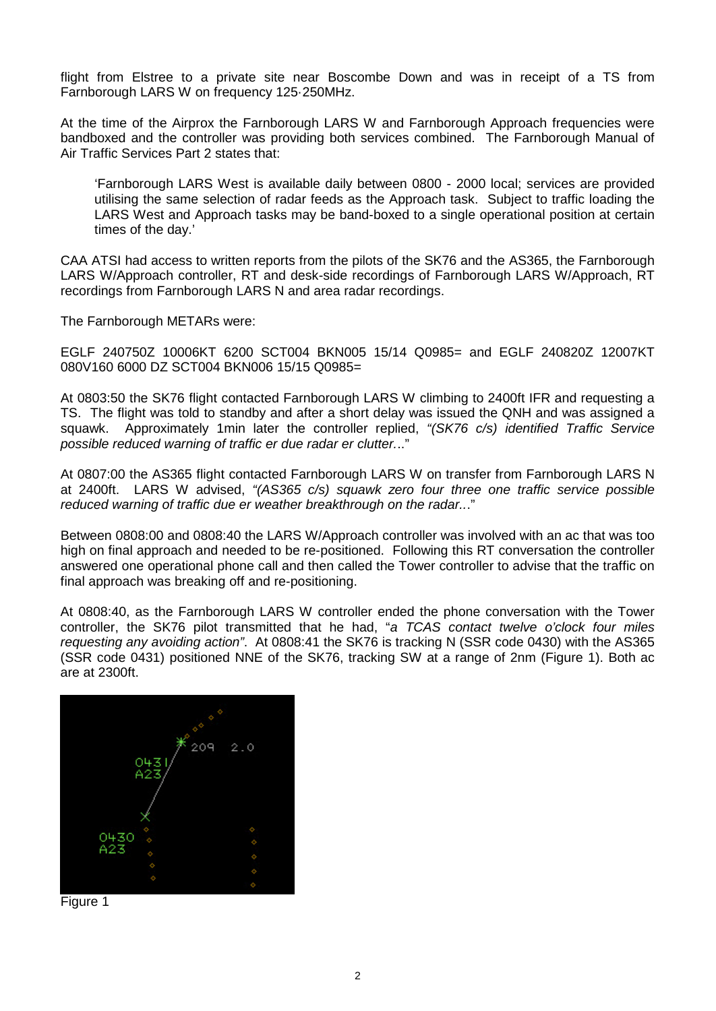flight from Elstree to a private site near Boscombe Down and was in receipt of a TS from Farnborough LARS W on frequency 125·250MHz.

At the time of the Airprox the Farnborough LARS W and Farnborough Approach frequencies were bandboxed and the controller was providing both services combined. The Farnborough Manual of Air Traffic Services Part 2 states that:

'Farnborough LARS West is available daily between 0800 - 2000 local; services are provided utilising the same selection of radar feeds as the Approach task. Subject to traffic loading the LARS West and Approach tasks may be band-boxed to a single operational position at certain times of the day.'

CAA ATSI had access to written reports from the pilots of the SK76 and the AS365, the Farnborough LARS W/Approach controller, RT and desk-side recordings of Farnborough LARS W/Approach, RT recordings from Farnborough LARS N and area radar recordings.

The Farnborough METARs were:

EGLF 240750Z 10006KT 6200 SCT004 BKN005 15/14 Q0985= and EGLF 240820Z 12007KT 080V160 6000 DZ SCT004 BKN006 15/15 Q0985=

At 0803:50 the SK76 flight contacted Farnborough LARS W climbing to 2400ft IFR and requesting a TS. The flight was told to standby and after a short delay was issued the QNH and was assigned a squawk. Approximately 1min later the controller replied, *"(SK76 c/s) identified Traffic Service possible reduced warning of traffic er due radar er clutter.*.."

At 0807:00 the AS365 flight contacted Farnborough LARS W on transfer from Farnborough LARS N at 2400ft. LARS W advised, *"(AS365 c/s) squawk zero four three one traffic service possible reduced warning of traffic due er weather breakthrough on the radar..*."

Between 0808:00 and 0808:40 the LARS W/Approach controller was involved with an ac that was too high on final approach and needed to be re-positioned. Following this RT conversation the controller answered one operational phone call and then called the Tower controller to advise that the traffic on final approach was breaking off and re-positioning.

At 0808:40, as the Farnborough LARS W controller ended the phone conversation with the Tower controller, the SK76 pilot transmitted that he had, "*a TCAS contact twelve o'clock four miles requesting any avoiding action"*. At 0808:41 the SK76 is tracking N (SSR code 0430) with the AS365 (SSR code 0431) positioned NNE of the SK76, tracking SW at a range of 2nm (Figure 1). Both ac are at 2300ft.



Figure 1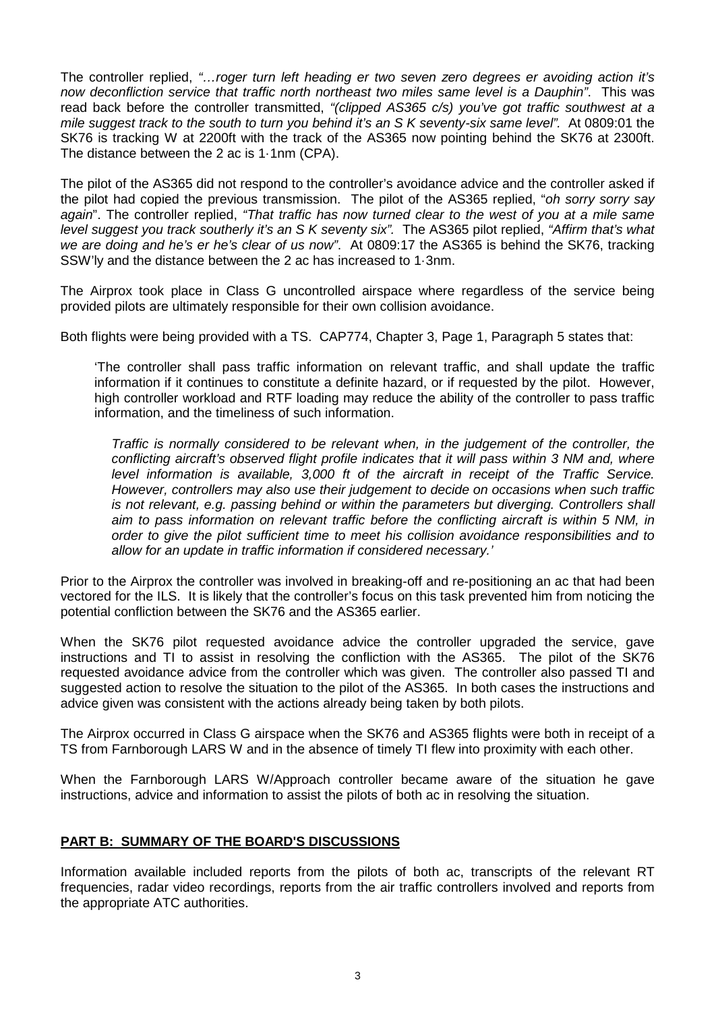The controller replied, *"…roger turn left heading er two seven zero degrees er avoiding action it's now deconfliction service that traffic north northeast two miles same level is a Dauphin"*. This was read back before the controller transmitted, *"(clipped AS365 c/s) you've got traffic southwest at a mile suggest track to the south to turn you behind it's an S K seventy-six same level".* At 0809:01 the SK76 is tracking W at 2200ft with the track of the AS365 now pointing behind the SK76 at 2300ft. The distance between the 2 ac is 1·1nm (CPA).

The pilot of the AS365 did not respond to the controller's avoidance advice and the controller asked if the pilot had copied the previous transmission. The pilot of the AS365 replied, "*oh sorry sorry say again*". The controller replied, *"That traffic has now turned clear to the west of you at a mile same level suggest you track southerly it's an S K seventy six".* The AS365 pilot replied, *"Affirm that's what we are doing and he's er he's clear of us now"*. At 0809:17 the AS365 is behind the SK76, tracking SSW'ly and the distance between the 2 ac has increased to 1·3nm.

The Airprox took place in Class G uncontrolled airspace where regardless of the service being provided pilots are ultimately responsible for their own collision avoidance.

Both flights were being provided with a TS. CAP774, Chapter 3, Page 1, Paragraph 5 states that:

'The controller shall pass traffic information on relevant traffic, and shall update the traffic information if it continues to constitute a definite hazard, or if requested by the pilot. However, high controller workload and RTF loading may reduce the ability of the controller to pass traffic information, and the timeliness of such information.

*Traffic is normally considered to be relevant when, in the judgement of the controller, the conflicting aircraft's observed flight profile indicates that it will pass within 3 NM and, where level information is available, 3,000 ft of the aircraft in receipt of the Traffic Service. However, controllers may also use their judgement to decide on occasions when such traffic is not relevant, e.g. passing behind or within the parameters but diverging. Controllers shall aim to pass information on relevant traffic before the conflicting aircraft is within 5 NM, in order to give the pilot sufficient time to meet his collision avoidance responsibilities and to allow for an update in traffic information if considered necessary.'*

Prior to the Airprox the controller was involved in breaking-off and re-positioning an ac that had been vectored for the ILS. It is likely that the controller's focus on this task prevented him from noticing the potential confliction between the SK76 and the AS365 earlier.

When the SK76 pilot requested avoidance advice the controller upgraded the service, gave instructions and TI to assist in resolving the confliction with the AS365. The pilot of the SK76 requested avoidance advice from the controller which was given. The controller also passed TI and suggested action to resolve the situation to the pilot of the AS365. In both cases the instructions and advice given was consistent with the actions already being taken by both pilots.

The Airprox occurred in Class G airspace when the SK76 and AS365 flights were both in receipt of a TS from Farnborough LARS W and in the absence of timely TI flew into proximity with each other.

When the Farnborough LARS W/Approach controller became aware of the situation he gave instructions, advice and information to assist the pilots of both ac in resolving the situation.

## **PART B: SUMMARY OF THE BOARD'S DISCUSSIONS**

Information available included reports from the pilots of both ac, transcripts of the relevant RT frequencies, radar video recordings, reports from the air traffic controllers involved and reports from the appropriate ATC authorities.